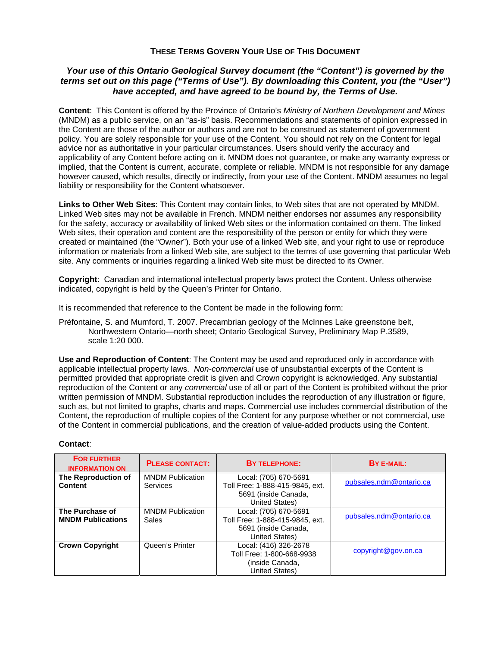## **THESE TERMS GOVERN YOUR USE OF THIS DOCUMENT**

## *Your use of this Ontario Geological Survey document (the "Content") is governed by the terms set out on this page ("Terms of Use"). By downloading this Content, you (the "User") have accepted, and have agreed to be bound by, the Terms of Use.*

**Content**: This Content is offered by the Province of Ontario's *Ministry of Northern Development and Mines* (MNDM) as a public service, on an "as-is" basis. Recommendations and statements of opinion expressed in the Content are those of the author or authors and are not to be construed as statement of government policy. You are solely responsible for your use of the Content. You should not rely on the Content for legal advice nor as authoritative in your particular circumstances. Users should verify the accuracy and applicability of any Content before acting on it. MNDM does not guarantee, or make any warranty express or implied, that the Content is current, accurate, complete or reliable. MNDM is not responsible for any damage however caused, which results, directly or indirectly, from your use of the Content. MNDM assumes no legal liability or responsibility for the Content whatsoever.

**Links to Other Web Sites**: This Content may contain links, to Web sites that are not operated by MNDM. Linked Web sites may not be available in French. MNDM neither endorses nor assumes any responsibility for the safety, accuracy or availability of linked Web sites or the information contained on them. The linked Web sites, their operation and content are the responsibility of the person or entity for which they were created or maintained (the "Owner"). Both your use of a linked Web site, and your right to use or reproduce information or materials from a linked Web site, are subject to the terms of use governing that particular Web site. Any comments or inquiries regarding a linked Web site must be directed to its Owner.

**Copyright**: Canadian and international intellectual property laws protect the Content. Unless otherwise indicated, copyright is held by the Queen's Printer for Ontario.

It is recommended that reference to the Content be made in the following form:

Préfontaine, S. and Mumford, T. 2007. Precambrian geology of the McInnes Lake greenstone belt, Northwestern Ontario—north sheet; Ontario Geological Survey, Preliminary Map P.3589, scale 1:20 000.

**Use and Reproduction of Content**: The Content may be used and reproduced only in accordance with applicable intellectual property laws. *Non-commercial* use of unsubstantial excerpts of the Content is permitted provided that appropriate credit is given and Crown copyright is acknowledged. Any substantial reproduction of the Content or any *commercial* use of all or part of the Content is prohibited without the prior written permission of MNDM. Substantial reproduction includes the reproduction of any illustration or figure, such as, but not limited to graphs, charts and maps. Commercial use includes commercial distribution of the Content, the reproduction of multiple copies of the Content for any purpose whether or not commercial, use of the Content in commercial publications, and the creation of value-added products using the Content.

| <b>FOR FURTHER</b><br><b>INFORMATION ON</b> | <b>PLEASE CONTACT:</b>                     | <b>BY TELEPHONE:</b>                                                                                      | BY E-MAIL:              |
|---------------------------------------------|--------------------------------------------|-----------------------------------------------------------------------------------------------------------|-------------------------|
| The Reproduction of<br><b>Content</b>       | <b>MNDM Publication</b><br><b>Services</b> | Local: (705) 670-5691<br>Toll Free: 1-888-415-9845, ext.<br>5691 (inside Canada,<br>United States)        | pubsales.ndm@ontario.ca |
| The Purchase of<br><b>MNDM Publications</b> | <b>MNDM Publication</b><br><b>Sales</b>    | Local: (705) 670-5691<br>Toll Free: 1-888-415-9845, ext.<br>5691 (inside Canada,<br><b>United States)</b> | pubsales.ndm@ontario.ca |
| <b>Crown Copyright</b>                      | Queen's Printer                            | Local: (416) 326-2678<br>Toll Free: 1-800-668-9938<br>(inside Canada,<br>United States)                   | copyright@gov.on.ca     |

## **Contact**: